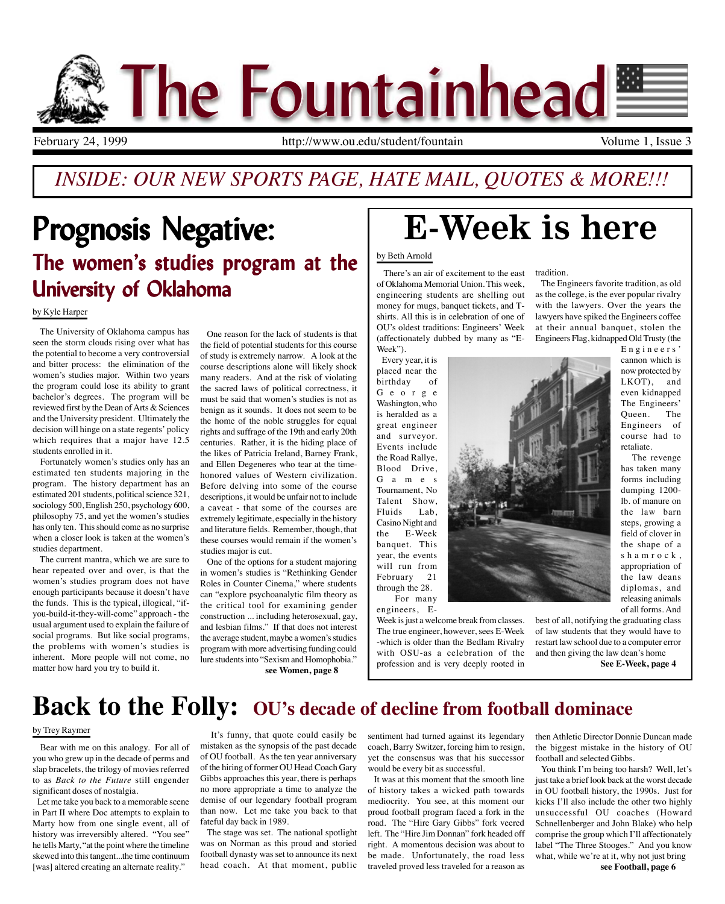

### *INSIDE: OUR NEW SPORTS PAGE, HATE MAIL, QUOTES & MORE!!!*

### Prognosis Negative: The women's studies program at the University of Oklahoma

by Kyle Harper

 The University of Oklahoma campus has seen the storm clouds rising over what has the potential to become a very controversial and bitter process: the elimination of the women's studies major. Within two years the program could lose its ability to grant bachelor's degrees. The program will be reviewed first by the Dean of Arts & Sciences and the University president. Ultimately the decision will hinge on a state regents' policy which requires that a major have 12.5 students enrolled in it.

 Fortunately women's studies only has an estimated ten students majoring in the program. The history department has an estimated 201 students, political science 321, sociology 500, English 250, psychology 600, philosophy 75, and yet the women's studies has only ten. This should come as no surprise when a closer look is taken at the women's studies department.

 The current mantra, which we are sure to hear repeated over and over, is that the women's studies program does not have enough participants because it doesn't have the funds. This is the typical, illogical, "ifyou-build-it-they-will-come" approach - the usual argument used to explain the failure of social programs. But like social programs, the problems with women's studies is inherent. More people will not come, no matter how hard you try to build it.

 One reason for the lack of students is that the field of potential students for this course of study is extremely narrow. A look at the course descriptions alone will likely shock many readers. And at the risk of violating the sacred laws of political correctness, it must be said that women's studies is not as benign as it sounds. It does not seem to be the home of the noble struggles for equal rights and suffrage of the 19th and early 20th centuries. Rather, it is the hiding place of the likes of Patricia Ireland, Barney Frank, and Ellen Degeneres who tear at the timehonored values of Western civilization. Before delving into some of the course descriptions, it would be unfair not to include a caveat - that some of the courses are extremely legitimate, especially in the history and literature fields. Remember, though, that these courses would remain if the women's studies major is cut.

 One of the options for a student majoring in women's studies is "Rethinking Gender Roles in Counter Cinema," where students can "explore psychoanalytic film theory as the critical tool for examining gender construction ... including heterosexual, gay, and lesbian films." If that does not interest the average student, maybe a women's studies program with more advertising funding could lure students into "Sexism and Homophobia." **see Women, page 8**

# E-Week is here

#### by Beth Arnold

 There's an air of excitement to the east of Oklahoma Memorial Union. This week, engineering students are shelling out money for mugs, banquet tickets, and Tshirts. All this is in celebration of one of OU's oldest traditions: Engineers' Week (affectionately dubbed by many as "E-Week").

 Every year, it is placed near the birthday of George Washington, who is heralded as a great engineer and surveyor. Events include the Road Rallye, Blood Drive, G a m e s Tournament, No Talent Show, Fluids Lab, Casino Night and the E-Week banquet. This year, the events will run from February 21 through the 28. For many

engineers, E-

Week is just a welcome break from classes. The true engineer, however, sees E-Week -which is older than the Bedlam Rivalry with OSU-as a celebration of the profession and is very deeply rooted in

tradition.

 The Engineers favorite tradition, as old as the college, is the ever popular rivalry with the lawyers. Over the years the lawyers have spiked the Engineers coffee at their annual banquet, stolen the Engineers Flag, kidnapped Old Trusty (the

> Engineers' cannon which is now protected by LKOT), and even kidnapped The Engineers' Queen. The Engineers of course had to retaliate.

 The revenge has taken many forms including dumping 1200 lb. of manure on the law barn steps, growing a field of clover in the shape of a shamrock, appropriation of the law deans diplomas, and releasing animals of all forms. And

best of all, notifying the graduating class of law students that they would have to restart law school due to a computer error and then giving the law dean's home **See E-Week, page 4**

**Back to the Folly: OU's decade of decline from football dominace**

#### by Trey Raymer

 Bear with me on this analogy. For all of you who grew up in the decade of perms and slap bracelets, the trilogy of movies referred to as *Back to the Future* still engender significant doses of nostalgia.

 Let me take you back to a memorable scene in Part II where Doc attempts to explain to Marty how from one single event, all of history was irreversibly altered. "You see" he tells Marty, "at the point where the timeline skewed into this tangent...the time continuum [was] altered creating an alternate reality."

 It's funny, that quote could easily be mistaken as the synopsis of the past decade of OU football. As the ten year anniversary of the hiring of former OU Head Coach Gary Gibbs approaches this year, there is perhaps no more appropriate a time to analyze the demise of our legendary football program than now. Let me take you back to that fateful day back in 1989.

 The stage was set. The national spotlight was on Norman as this proud and storied football dynasty was set to announce its next head coach. At that moment, public sentiment had turned against its legendary coach, Barry Switzer, forcing him to resign, yet the consensus was that his successor would be every bit as successful.

 It was at this moment that the smooth line of history takes a wicked path towards mediocrity. You see, at this moment our proud football program faced a fork in the road. The "Hire Gary Gibbs" fork veered left. The "Hire Jim Donnan" fork headed off right. A momentous decision was about to be made. Unfortunately, the road less traveled proved less traveled for a reason as then Athletic Director Donnie Duncan made the biggest mistake in the history of OU football and selected Gibbs.

 You think I'm being too harsh? Well, let's just take a brief look back at the worst decade in OU football history, the 1990s. Just for kicks I'll also include the other two highly unsuccessful OU coaches (Howard Schnellenberger and John Blake) who help comprise the group which I'll affectionately label "The Three Stooges." And you know what, while we're at it, why not just bring **see Football, page 6**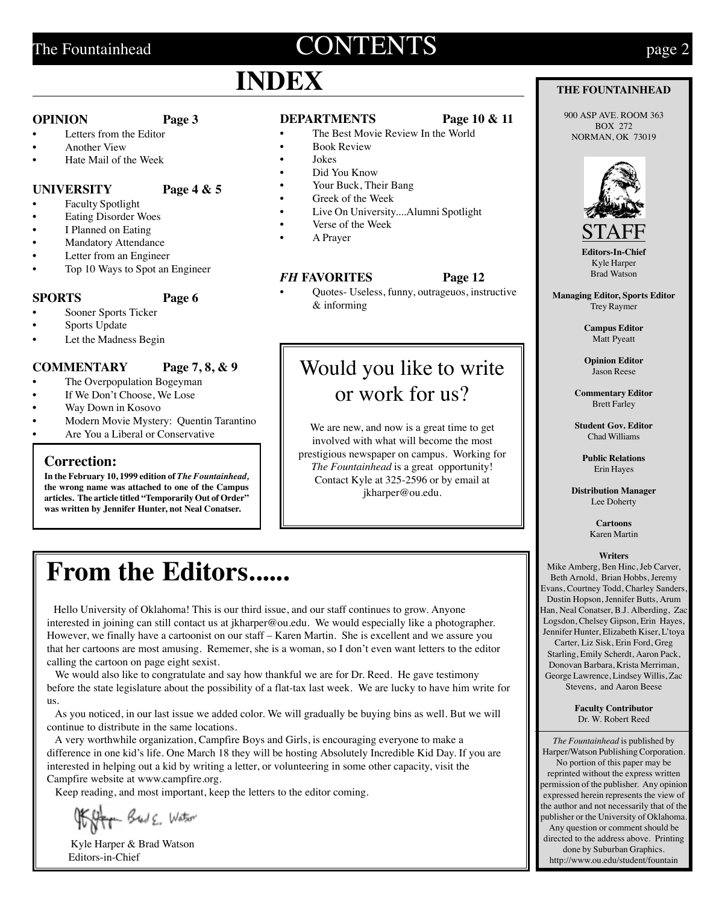### The Fountainhead  **page 2**

### **INDEX**

#### **OPINION Page 3**

- Letters from the Editor
- Another View
- Hate Mail of the Week

#### **UNIVERSITY Page 4 & 5**

- Faculty Spotlight
- Eating Disorder Woes
- I Planned on Eating
- **Mandatory Attendance**
- Letter from an Engineer
- Top 10 Ways to Spot an Engineer

#### **SPORTS Page 6**

- Sooner Sports Ticker
- Sports Update
- Let the Madness Begin

### **COMMENTARY Page 7, 8, & 9**

- The Overpopulation Bogeyman
- If We Don't Choose, We Lose
- Way Down in Kosovo
- Modern Movie Mystery: Quentin Tarantino
- Are You a Liberal or Conservative

### **Correction:**

**In the February 10, 1999 edition of** *The Fountainhead,* **the wrong name was attached to one of the Campus articles. The article titled "Temporarily Out of Order" was written by Jennifer Hunter, not Neal Conatser.**

### **DEPARTMENTS Page 10 & 11**

- The Best Movie Review In the World
- Book Review
- Jokes
- Did You Know
- Your Buck, Their Bang
- Greek of the Week
- Live On University....Alumni Spotlight
- Verse of the Week
- A Prayer

• Quotes- Useless, funny, outrageuos, instructive & informing

### Would you like to write or work for us?

We are new, and now is a great time to get involved with what will become the most prestigious newspaper on campus. Working for *The Fountainhead* is a great opportunity! Contact Kyle at 325-2596 or by email at jkharper@ou.edu.

### **From the Editors......**

 Hello University of Oklahoma! This is our third issue, and our staff continues to grow. Anyone interested in joining can still contact us at jkharper@ou.edu. We would especially like a photographer. However, we finally have a cartoonist on our staff – Karen Martin. She is excellent and we assure you that her cartoons are most amusing. Rememer, she is a woman, so I don't even want letters to the editor calling the cartoon on page eight sexist.

We would also like to congratulate and say how thankful we are for Dr. Reed. He gave testimony before the state legislature about the possibility of a flat-tax last week. We are lucky to have him write for us.

 As you noticed, in our last issue we added color. We will gradually be buying bins as well. But we will continue to distribute in the same locations.

 A very worthwhile organization, Campfire Boys and Girls, is encouraging everyone to make a difference in one kid's life. One March 18 they will be hosting Absolutely Incredible Kid Day. If you are interested in helping out a kid by writing a letter, or volunteering in some other capacity, visit the Campfire website at www.campfire.org.

Keep reading, and most important, keep the letters to the editor coming.

Kitty Brad E. Watson

 Kyle Harper & Brad Watson Editors-in-Chief

- 
- 
- 
- 

#### *FH* **FAVORITES Page 12**

### **THE FOUNTAINHEAD**

900 ASP AVE. ROOM 363 BOX 272 NORMAN, OK 73019



**Editors-In-Chi** Kyle Harper Brad Watson

**Managing Editor, Sports Editor** Trey Raymer

> **Campus Editor** Matt Pyeatt

**Opinion Editor** Jason Reese

**Commentary Editor** Brett Farley

**Student Gov. Editor** Chad Williams

> **Public Relations** Erin Hayes

**Distribution Manager** Lee Doherty

> **Cartoons** Karen Martin

#### **Writers**

Mike Amberg, Ben Hinc, Jeb Carver, Beth Arnold, Brian Hobbs, Jeremy Evans, Courtney Todd, Charley Sanders, Dustin Hopson, Jennifer Butts, Arum Han, Neal Conatser, B.J. Alberding, Zac Logsdon, Chelsey Gipson, Erin Hayes, Jennifer Hunter, Elizabeth Kiser, L'toya Carter, Liz Sisk, Erin Ford, Greg Starling, Emily Scherdt, Aaron Pack, Donovan Barbara, Krista Merriman, George Lawrence, Lindsey Willis, Zac Stevens, and Aaron Beese

> **Faculty Contributor** Dr. W. Robert Reed

*The Fountainhead* is published by Harper/Watson Publishing Corporation. No portion of this paper may be reprinted without the express written permission of the publisher. Any opinion expressed herein represents the view of the author and not necessarily that of the publisher or the University of Oklahoma. Any question or comment should be directed to the address above. Printing done by Suburban Graphics. http://www.ou.edu/student/fountain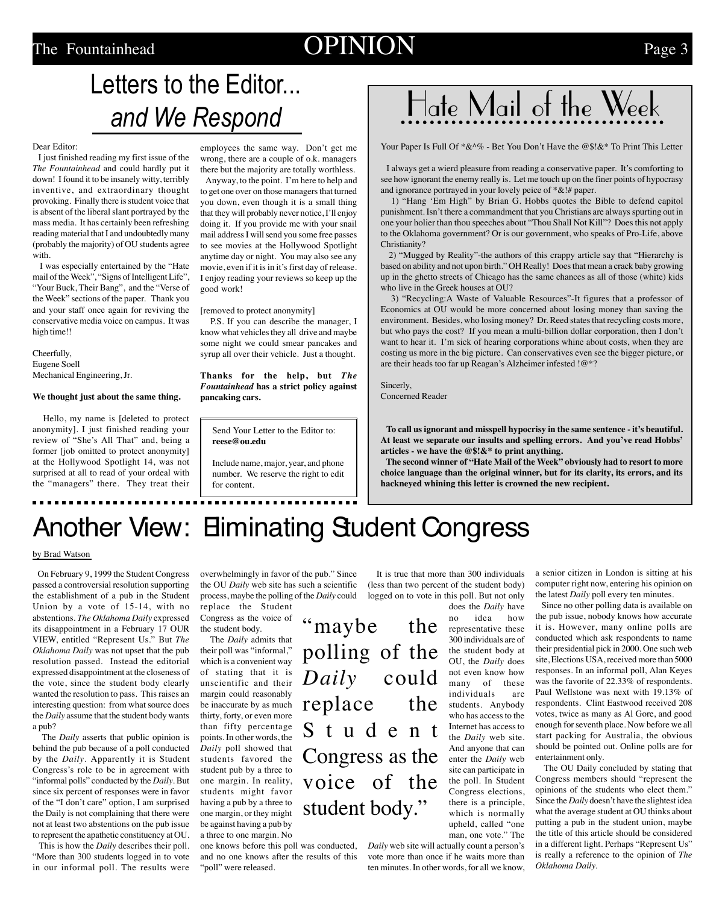### The Fountainhead  $OPINION$  Page 3

## Letters to the Editor... and We Respond

#### Dear Editor:

 I just finished reading my first issue of the *The Fountainhead* and could hardly put it down! I found it to be insanely witty, terribly inventive, and extraordinary thought provoking. Finally there is student voice that is absent of the liberal slant portrayed by the mass media. It has certainly been refreshing reading material that I and undoubtedly many (probably the majority) of OU students agree with.

 I was especially entertained by the "Hate mail of the Week", "Signs of Intelligent Life", "Your Buck, Their Bang", and the "Verse of the Week" sections of the paper. Thank you and your staff once again for reviving the conservative media voice on campus. It was high time!!

Cheerfully, Eugene Soell Mechanical Engineering, Jr.

**We thought just about the same thing.**

 Hello, my name is [deleted to protect anonymity]. I just finished reading your review of "She's All That" and, being a former [job omitted to protect anonymity] at the Hollywood Spotlight 14, was not surprised at all to read of your ordeal with the "managers" there. They treat their employees the same way. Don't get me wrong, there are a couple of o.k. managers

there but the majority are totally worthless. Anyway, to the point. I'm here to help and to get one over on those managers that turned you down, even though it is a small thing that they will probably never notice, I'll enjoy doing it. If you provide me with your snail mail address I will send you some free passes to see movies at the Hollywood Spotlight anytime day or night. You may also see any movie, even if it is in it's first day of release. I enjoy reading your reviews so keep up the good work!

[removed to protect anonymity]

 P.S. If you can describe the manager, I know what vehicles they all drive and maybe some night we could smear pancakes and syrup all over their vehicle. Just a thought.

**Thanks for the help, but** *The Fountainhead* **has a strict policy against pancaking cars.**

Send Your Letter to the Editor to: **reese@ou.edu**

Include name, major, year, and phone number. We reserve the right to edit for content.



Your Paper Is Full Of  $*\&\%$  - Bet You Don't Have the @\$!&\* To Print This Letter

 I always get a wierd pleasure from reading a conservative paper. It's comforting to see how ignorant the enemy really is. Let me touch up on the finer points of hypocrasy and ignorance portrayed in your lovely peice of  $* \& !#$  paper.

 1) "Hang 'Em High" by Brian G. Hobbs quotes the Bible to defend capitol punishment. Isn't there a commandment that you Christians are always spurting out in one your holier than thou speeches about "Thou Shall Not Kill"? Does this not apply to the Oklahoma government? Or is our government, who speaks of Pro-Life, above Christianity?

 2) "Mugged by Reality"-the authors of this crappy article say that "Hierarchy is based on ability and not upon birth." OH Really! Does that mean a crack baby growing up in the ghetto streets of Chicago has the same chances as all of those (white) kids who live in the Greek houses at OU?

 3) "Recycling:A Waste of Valuable Resources"-It figures that a professor of Economics at OU would be more concerned about losing money than saving the environment. Besides, who losing money? Dr. Reed states that recycling costs more, but who pays the cost? If you mean a multi-billion dollar corporation, then I don't want to hear it. I'm sick of hearing corporations whine about costs, when they are costing us more in the big picture. Can conservatives even see the bigger picture, or are their heads too far up Reagan's Alzheimer infested !@\*?

Sincerly, Concerned Reader

 **To call us ignorant and misspell hypocrisy in the same sentence - it's beautiful. At least we separate our insults and spelling errors. And you've read Hobbs' articles - we have the @\$!&\* to print anything.**

 **The second winner of "Hate Mail of the Week" obviously had to resort to more choice language than the original winner, but for its clarity, its errors, and its hackneyed whining this letter is crowned the new recipient.**

## Another View: Eliminating Student Congress

#### by Brad Watson

 On February 9, 1999 the Student Congress passed a controversial resolution supporting the establishment of a pub in the Student Union by a vote of 15-14, with no abstentions. *The Oklahoma Daily* expressed its disappointment in a February 17 OUR VIEW, entitled "Represent Us." But *The Oklahoma Daily* was not upset that the pub resolution passed. Instead the editorial expressed disappointment at the closeness of the vote, since the student body clearly wanted the resolution to pass. This raises an interesting question: from what source does the *Daily* assume that the student body wants a pub?

 The *Daily* asserts that public opinion is behind the pub because of a poll conducted by the *Daily*. Apparently it is Student Congress's role to be in agreement with "informal polls" conducted by the *Daily*. But since six percent of responses were in favor of the "I don't care" option, I am surprised the Daily is not complaining that there were not at least two abstentions on the pub issue to represent the apathetic constituency at OU.

 This is how the *Daily* describes their poll. "More than 300 students logged in to vote in our informal poll. The results were

overwhelmingly in favor of the pub." Since the OU *Daily* web site has such a scientific process, maybe the polling of the *Daily* could replace the Student

Congress as the voice of the student body.

 The *Daily* admits that their poll was "informal," which is a convenient way of stating that it is unscientific and their margin could reasonably be inaccurate by as much thirty, forty, or even more than fifty percentage points. In other words, the *Daily* poll showed that students favored the student pub by a three to one margin. In reality, students might favor having a pub by a three to one margin, or they might be against having a pub by a three to one margin. No

one knows before this poll was conducted, *Daily* web site will actually count a person's and no one knows after the results of this "poll" were released.

 It is true that more than 300 individuals (less than two percent of the student body) logged on to vote in this poll. But not only

no idea how "maybe the polling of the *Daily* could replace the Student Congress as the voice of the student body."

does the *Daily* have

vote more than once if he waits more than ten minutes. In other words, for all we know,

representative these 300 individuals are of the student body at OU, the *Daily* does not even know how many of these individuals are students. Anybody who has access to the Internet has access to the *Daily* web site. And anyone that can enter the *Daily* web site can participate in the poll. In Student Congress elections, there is a principle, which is normally upheld, called "one man, one vote." The a senior citizen in London is sitting at his computer right now, entering his opinion on the latest *Daily* poll every ten minutes.

 Since no other polling data is available on the pub issue, nobody knows how accurate it is. However, many online polls are conducted which ask respondents to name their presidential pick in 2000. One such web site, Elections USA, received more than 5000 responses. In an informal poll, Alan Keyes was the favorite of 22.33% of respondents. Paul Wellstone was next with 19.13% of respondents. Clint Eastwood received 208 votes, twice as many as Al Gore, and good enough for seventh place. Now before we all start packing for Australia, the obvious should be pointed out. Online polls are for entertainment only.

 The OU Daily concluded by stating that Congress members should "represent the opinions of the students who elect them." Since the *Daily* doesn't have the slightest idea what the average student at OU thinks about putting a pub in the student union, maybe the title of this article should be considered in a different light. Perhaps "Represent Us" is really a reference to the opinion of *The Oklahoma Daily.*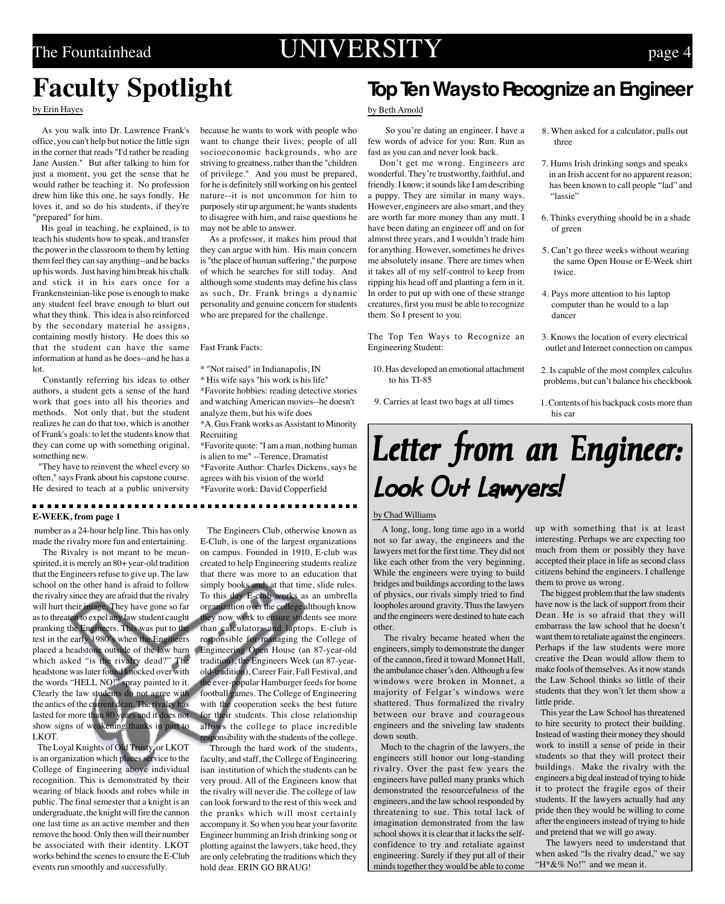### The Fountainhead  $UNIVERSITY$  page 4

### **Faculty Spotlight**

#### by Erin Hayes

 As you walk into Dr. Lawrence Frank's office, you can't help but notice the little sign in the corner that reads "I'd rather be reading Jane Austen." But after talking to him for just a moment, you get the sense that he would rather be teaching it. No profession drew him like this one, he says fondly. He loves it, and so do his students, if they're "prepared" for him.

 His goal in teaching, he explained, is to teach his students how to speak, and transfer the power in the classroom to them by letting them feel they can say anything--and he backs up his words. Just having him break his chalk and stick it in his ears once for a Frankensteinian-like pose is enough to make any student feel brave enough to blurt out what they think. This idea is also reinforced by the secondary material he assigns, containing mostly history. He does this so that the student can have the same information at hand as he does--and he has a lot.

 Constantly referring his ideas to other authors, a student gets a sense of the hard work that goes into all his theories and methods. Not only that, but the student realizes he can do that too, which is another of Frank's goals: to let the students know that they can come up with something original, something new.

 "They have to reinvent the wheel every so often," says Frank about his capstone course. He desired to teach at a public university

#### **E-WEEK, from page 1**

 number as a 24-hour help line. This has only made the rivalry more fun and entertaining.

 The Rivalry is not meant to be meanspirited, it is merely an 80+ year-old tradition that the Engineers refuse to give up. The law school on the other hand is afraid to follow the rivalry since they are afraid that the rivalry will hurt their image. They have gone so far as to threaten to expel any law student caught pranking the Engineers. This was put to the test in the early 1980's when the Engineers placed a headstone outside of the law barn Engineering Open House (an 87-year-old which asked "is the rivalry dead?" The headstone was later found knocked over with the words "HELL NO!" spray painted to it. Clearly the law students do not agree with the antics of the current dean. The rivalry has lasted for more than 80 years and it does not show signs of weakening thanks in part to LKOT.

 The Loyal Knights of Old Trusty, or LKOT is an organization which places service to the College of Engineering above individual recognition. This is demonstrated by their wearing of black hoods and robes while in public. The final semester that a knight is an undergraduate, the knight will fire the cannon one last time as an active member and then remove the hood. Only then will their number be associated with their identity. LKOT works behind the scenes to ensure the E-Club events run smoothly and successfully.

because he wants to work with people who want to change their lives; people of all socioeconomic backgrounds, who are striving to greatness, rather than the "children of privilege." And you must be prepared, for he is definitely still working on his genteel nature--it is not uncommon for him to purposely stir up argument; he wants students to disagree with him, and raise questions he may not be able to answer.

 As a professor, it makes him proud that they can argue with him. His main concern is "the place of human suffering," the purpose of which he searches for still today. And although some students may define his class as such, Dr. Frank brings a dynamic personality and genuine concern for students who are prepared for the challenge.

#### Fast Frank Facts:

\* "Not raised" in Indianapolis, IN

\* His wife says "his work is his life"

\*Favorite hobbies: reading detective stories and watching American movies--he doesn't analyze them, but his wife does

\*A. Gus Frank works as Assistant to Minority Recruiting \*Favorite quote: "I am a man, nothing human

is alien to me" --Terence, Dramatist \*Favorite Author: Charles Dickens, says he agrees with his vision of the world \*Favorite work: David Copperfield

......................

 The Engineers Club, otherwise known as E-Club, is one of the largest organizations on campus. Founded in 1910, E-club was created to help Engineering students realize that there was more to an education that simply books and, at that time, slide rules. To this day E-club works as an umbrella organization over the college although know they now work to ensure students see more than calculators and laptops. E-club is responsible for managing the College of tradition), the Engineers Week (an 87-yearold-tradition), Career Fair, Fall Festival, and the ever-popular Hamburger feeds for home football games. The College of Engineering with the cooperation seeks the best future for their students. This close relationship allows the college to place incredible responsibility with the students of the college.

 Through the hard work of the students, faculty, and staff, the College of Engineering isan institution of which the students can be very proud. All of the Engineers know that the rivalry will never die. The college of law can look forward to the rest of this week and the pranks which will most certainly accompany it. So when you hear your favorite Engineer humming an Irish drinking song or plotting against the lawyers, take heed, they are only celebrating the traditions which they hold dear. ERIN GO BRAUG!

### **Top Ten Ways to Recognize an Engineer**

#### by Beth Arnold

 So you're dating an engineer. I have a few words of advice for you: Run. Run as fast as you can and never look back.

 Don't get me wrong. Engineers are wonderful. They're trustworthy, faithful, and friendly. I know; it sounds like I am describing a puppy. They are similar in many ways. However, engineers are also smart, and they are worth far more money than any mutt. I have been dating an engineer off and on for almost three years, and I wouldn't trade him for anything. However, sometimes he drives me absolutely insane. There are times when it takes all of my self-control to keep from ripping his head off and planting a fern in it. In order to put up with one of these strange creatures, first you must be able to recognize them. So I present to you:

The Top Ten Ways to Recognize an Engineering Student:

- 10. Has developed an emotional attachment to his TI-85
- 9. Carries at least two bags at all times
- 8. When asked for a calculator, pulls out three
- 7. Hums Irish drinking songs and speaks in an Irish accent for no apparent reason; has been known to call people "lad" and "lassie"
- 6. Thinks everything should be in a shade of green
- 5. Can't go three weeks without wearing the same Open House or E-Week shirt twice.
- 4. Pays more attention to his laptop computer than he would to a lap dancer
- 3. Knows the location of every electrical outlet and Internet connection on campus
- 2. Is capable of the most complex calculus problems, but can't balance his checkbook
- 1. Contents of his backpack costs more than his car

# Letter from an Engineer: Look Out Lawyers!

#### by Chad Williams

 A long, long, long time ago in a world not so far away, the engineers and the lawyers met for the first time. They did not like each other from the very beginning. While the engineers were trying to build bridges and buildings according to the laws of physics, our rivals simply tried to find loopholes around gravity. Thus the lawyers and the engineers were destined to hate each other.

 The rivalry became heated when the engineers, simply to demonstrate the danger of the cannon, fired it toward Monnet Hall, the ambulance chaser's den. Although a few windows were broken in Monnet, a majority of Felgar's windows were shattered. Thus formalized the rivalry between our brave and courageous engineers and the sniveling law students down south.

 Much to the chagrin of the lawyers, the engineers still honor our long-standing rivalry. Over the past few years the engineers have pulled many pranks which demonstrated the resourcefulness of the engineers, and the law school responded by threatening to sue. This total lack of imagination demonstrated from the law school shows it is clear that it lacks the selfconfidence to try and retaliate against engineering. Surely if they put all of their minds together they would be able to come up with something that is at least interesting. Perhaps we are expecting too much from them or possibly they have accepted their place in life as second class citizens behind the engineers. I challenge them to prove us wrong.

 The biggest problem that the law students have now is the lack of support from their Dean. He is so afraid that they will embarrass the law school that he doesn't want them to retaliate against the engineers. Perhaps if the law students were more creative the Dean would allow them to make fools of themselves. As it now stands the Law School thinks so little of their students that they won't let them show a little pride.

 This year the Law School has threatened to hire security to protect their building. Instead of wasting their money they should work to instill a sense of pride in their students so that they will protect their buildings. Make the rivalry with the engineers a big deal instead of trying to hide it to protect the fragile egos of their students. If the lawyers actually had any pride then they would be willing to come after the engineers instead of trying to hide and pretend that we will go away.

 The lawyers need to understand that when asked "Is the rivalry dead," we say "H\*&% No!" and we mean it.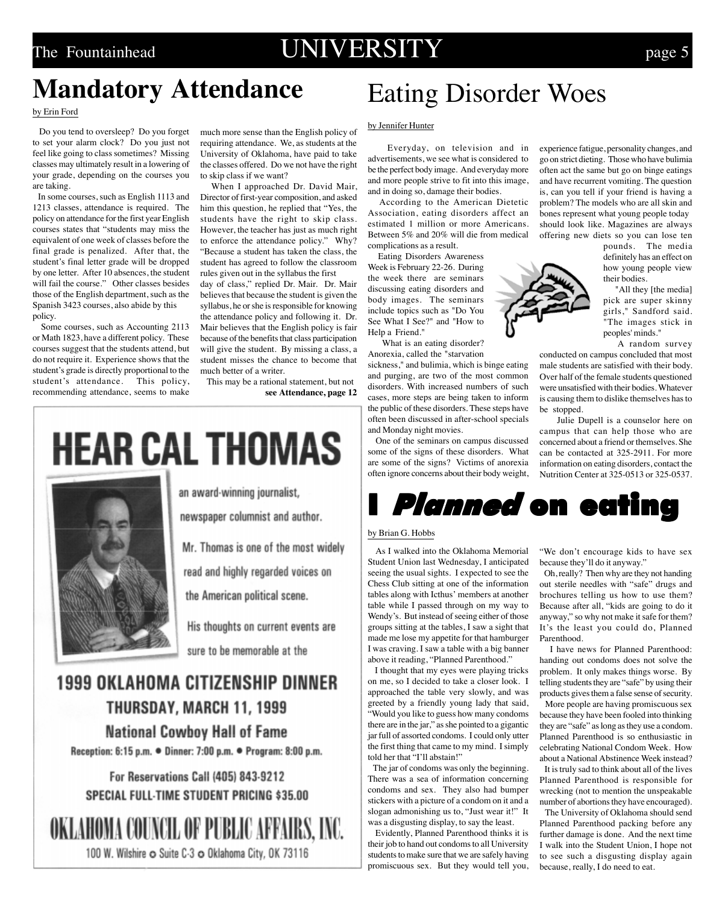### The Fountainhead **UNIVERSITY** page 5

### **Mandatory Attendance**

#### by Erin Ford

 Do you tend to oversleep? Do you forget to set your alarm clock? Do you just not feel like going to class sometimes? Missing classes may ultimately result in a lowering of your grade, depending on the courses you are taking.

 In some courses, such as English 1113 and 1213 classes, attendance is required. The policy on attendance for the first year English courses states that "students may miss the equivalent of one week of classes before the final grade is penalized. After that, the student's final letter grade will be dropped by one letter. After 10 absences, the student will fail the course." Other classes besides those of the English department, such as the Spanish 3423 courses, also abide by this policy.

 Some courses, such as Accounting 2113 or Math 1823, have a different policy. These courses suggest that the students attend, but do not require it. Experience shows that the student's grade is directly proportional to the student's attendance. This policy, recommending attendance, seems to make

much more sense than the English policy of requiring attendance. We, as students at the University of Oklahoma, have paid to take the classes offered. Do we not have the right to skip class if we want?

 When I approached Dr. David Mair, Director of first-year composition, and asked him this question, he replied that "Yes, the students have the right to skip class. However, the teacher has just as much right to enforce the attendance policy." Why? "Because a student has taken the class, the student has agreed to follow the classroom rules given out in the syllabus the first

day of class," replied Dr. Mair. Dr. Mair believes that because the student is given the syllabus, he or she is responsible for knowing the attendance policy and following it. Dr. Mair believes that the English policy is fair because of the benefits that class participation will give the student. By missing a class, a student misses the chance to become that much better of a writer.

 This may be a rational statement, but not **see Attendance, page 12**

# **HEAR CAL THOMAS**



an award-winning journalist,

newspaper columnist and author.

Mr. Thomas is one of the most widely

read and highly regarded voices on

the American political scene.

His thoughts on current events are sure to be memorable at the

### **1999 OKLAHOMA CITIZENSHIP DINNER** THURSDAY, MARCH 11, 1999 **National Cowboy Hall of Fame**

Reception: 6:15 p.m. • Dinner: 7:00 p.m. • Program: 8:00 p.m.

For Reservations Call (405) 843-9212 **SPECIAL FULL-TIME STUDENT PRICING \$35.00** 

OKLAHOMA COUNCIL OF PUBLIC AFFAIRS, INC. 100 W. Wilshire o Suite C-3 o Oklahoma City, OK 73116

## Eating Disorder Woes

#### by Jennifer Hunter

 Everyday, on television and in advertisements, we see what is considered to be the perfect body image. And everyday more and more people strive to fit into this image, and in doing so, damage their bodies.

 According to the American Dietetic Association, eating disorders affect an estimated 1 million or more Americans. Between 5% and 20% will die from medical complications as a result.

Eating Disorders Awareness

Week is February 22-26. During the week there are seminars discussing eating disorders and body images. The seminars include topics such as "Do You See What I See?" and "How to Help a Friend."

What is an eating disorder?

Anorexia, called the "starvation sickness," and bulimia, which is binge eating and purging, are two of the most common disorders. With increased numbers of such cases, more steps are being taken to inform the public of these disorders. These steps have often been discussed in after-school specials and Monday night movies.

 One of the seminars on campus discussed some of the signs of these disorders. What are some of the signs? Victims of anorexia often ignore concerns about their body weight,



#### by Brian G. Hobbs

 As I walked into the Oklahoma Memorial Student Union last Wednesday, I anticipated seeing the usual sights. I expected to see the Chess Club sitting at one of the information tables along with Icthus' members at another table while I passed through on my way to Wendy's. But instead of seeing either of those groups sitting at the tables, I saw a sight that made me lose my appetite for that hamburger I was craving. I saw a table with a big banner above it reading, "Planned Parenthood."

 I thought that my eyes were playing tricks on me, so I decided to take a closer look. I approached the table very slowly, and was greeted by a friendly young lady that said, "Would you like to guess how many condoms there are in the jar," as she pointed to a gigantic jar full of assorted condoms. I could only utter the first thing that came to my mind. I simply told her that "I'll abstain!"

 The jar of condoms was only the beginning. There was a sea of information concerning condoms and sex. They also had bumper stickers with a picture of a condom on it and a slogan admonishing us to, "Just wear it!" It was a disgusting display, to say the least.

 Evidently, Planned Parenthood thinks it is their job to hand out condoms to all University students to make sure that we are safely having promiscuous sex. But they would tell you, experience fatigue, personality changes, and go on strict dieting. Those who have bulimia often act the same but go on binge eatings and have recurrent vomiting. The question is, can you tell if your friend is having a problem? The models who are all skin and bones represent what young people today should look like. Magazines are always offering new diets so you can lose ten

pounds. The media definitely has an effect on how young people view their bodies.

"All they [the media] pick are super skinny girls," Sandford said. "The images stick in peoples' minds."

A random survey

conducted on campus concluded that most male students are satisfied with their body. Over half of the female students questioned were unsatisfied with their bodies. Whatever is causing them to dislike themselves has to be stopped.

 Julie Dupell is a counselor here on campus that can help those who are concerned about a friend or themselves. She can be contacted at 325-2911. For more information on eating disorders, contact the Nutrition Center at 325-0513 or 325-0537.

"We don't encourage kids to have sex because they'll do it anyway."

 Oh, really? Then why are they not handing out sterile needles with "safe" drugs and brochures telling us how to use them? Because after all, "kids are going to do it anyway," so why not make it safe for them? It's the least you could do, Planned Parenthood.

 I have news for Planned Parenthood: handing out condoms does not solve the problem. It only makes things worse. By telling students they are "safe" by using their products gives them a false sense of security.

 More people are having promiscuous sex because they have been fooled into thinking they are "safe" as long as they use a condom. Planned Parenthood is so enthusiastic in celebrating National Condom Week. How about a National Abstinence Week instead? It is truly sad to think about all of the lives

Planned Parenthood is responsible for wrecking (not to mention the unspeakable number of abortions they have encouraged).

 The University of Oklahoma should send Planned Parenthood packing before any further damage is done. And the next time I walk into the Student Union, I hope not to see such a disgusting display again because, really, I do need to eat.

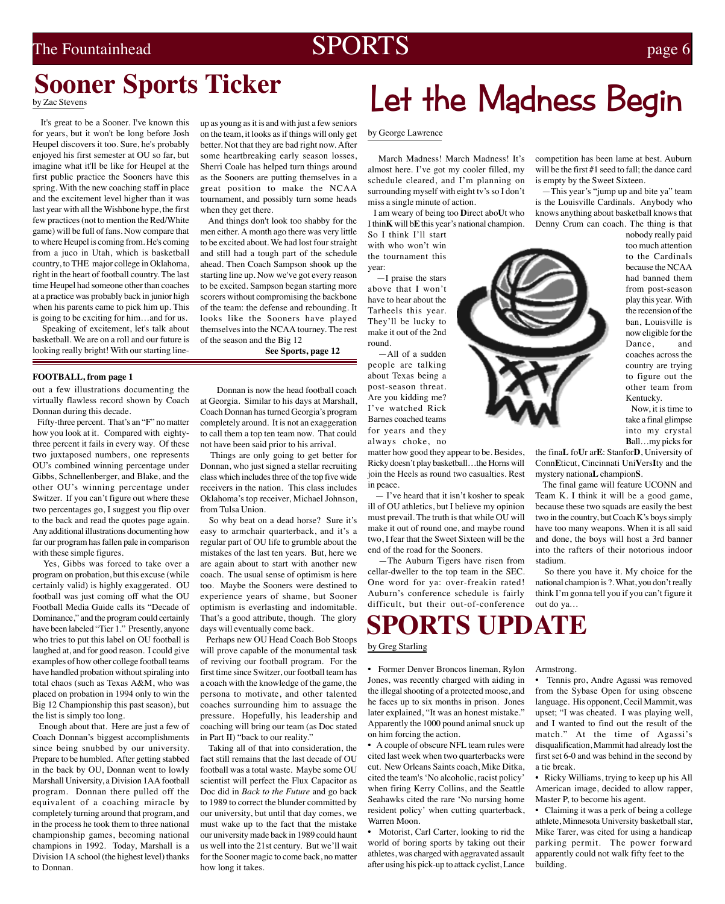### The Fountainhead  $SPORTS$  page 6

### **Sooner Sports Ticker**

by Zac Stevens

 It's great to be a Sooner. I've known this for years, but it won't be long before Josh Heupel discovers it too. Sure, he's probably enjoyed his first semester at OU so far, but imagine what it'll be like for Heupel at the first public practice the Sooners have this spring. With the new coaching staff in place and the excitement level higher than it was last year with all the Wishbone hype, the first few practices (not to mention the Red/White game) will be full of fans. Now compare that to where Heupel is coming from. He's coming from a juco in Utah, which is basketball country, to THE major college in Oklahoma, right in the heart of football country. The last time Heupel had someone other than coaches at a practice was probably back in junior high when his parents came to pick him up. This is going to be exciting for him…and for us.

 Speaking of excitement, let's talk about basketball. We are on a roll and our future is looking really bright! With our starting line-

#### **FOOTBALL, from page 1**

out a few illustrations documenting the virtually flawless record shown by Coach Donnan during this decade.

 Fifty-three percent. That's an "F" no matter how you look at it. Compared with eightythree percent it fails in every way. Of these two juxtaposed numbers, one represents OU's combined winning percentage under Gibbs, Schnellenberger, and Blake, and the other OU's winning percentage under Switzer. If you can't figure out where these two percentages go, I suggest you flip over to the back and read the quotes page again. Any additional illustrations documenting how far our program has fallen pale in comparison with these simple figures.

 Yes, Gibbs was forced to take over a program on probation, but this excuse (while certainly valid) is highly exaggerated. OU football was just coming off what the OU Football Media Guide calls its "Decade of Dominance," and the program could certainly have been labeled "Tier 1." Presently, anyone who tries to put this label on OU football is laughed at, and for good reason. I could give examples of how other college football teams have handled probation without spiraling into total chaos (such as Texas A&M, who was placed on probation in 1994 only to win the Big 12 Championship this past season), but the list is simply too long.

 Enough about that. Here are just a few of Coach Donnan's biggest accomplishments since being snubbed by our university. Prepare to be humbled. After getting stabbed in the back by OU, Donnan went to lowly Marshall University, a Division 1AA football program. Donnan there pulled off the equivalent of a coaching miracle by completely turning around that program, and in the process he took them to three national championship games, becoming national champions in 1992. Today, Marshall is a Division 1A school (the highest level) thanks to Donnan.

up as young as it is and with just a few seniors on the team, it looks as if things will only get better. Not that they are bad right now. After some heartbreaking early season losses, Sherri Coale has helped turn things around as the Sooners are putting themselves in a great position to make the NCAA tournament, and possibly turn some heads when they get there.

 And things don't look too shabby for the men either. A month ago there was very little to be excited about. We had lost four straight and still had a tough part of the schedule ahead. Then Coach Sampson shook up the starting line up. Now we've got every reason to be excited. Sampson began starting more scorers without compromising the backbone of the team: the defense and rebounding. It looks like the Sooners have played themselves into the NCAA tourney. The rest of the season and the Big 12

**See Sports, page 12**

 Donnan is now the head football coach at Georgia. Similar to his days at Marshall, Coach Donnan has turned Georgia's program completely around. It is not an exaggeration to call them a top ten team now. That could not have been said prior to his arrival.

 Things are only going to get better for Donnan, who just signed a stellar recruiting class which includes three of the top five wide receivers in the nation. This class includes Oklahoma's top receiver, Michael Johnson, from Tulsa Union.

 So why beat on a dead horse? Sure it's easy to armchair quarterback, and it's a regular part of OU life to grumble about the mistakes of the last ten years. But, here we are again about to start with another new coach. The usual sense of optimism is here too. Maybe the Sooners were destined to experience years of shame, but Sooner optimism is everlasting and indomitable. That's a good attribute, though. The glory days will eventually come back.

 Perhaps new OU Head Coach Bob Stoops will prove capable of the monumental task of reviving our football program. For the first time since Switzer, our football team has a coach with the knowledge of the game, the persona to motivate, and other talented coaches surrounding him to assuage the pressure. Hopefully, his leadership and coaching will bring our team (as Doc stated in Part II) "back to our reality."

 Taking all of that into consideration, the fact still remains that the last decade of OU football was a total waste. Maybe some OU scientist will perfect the Flux Capacitor as Doc did in *Back to the Future* and go back to 1989 to correct the blunder committed by our university, but until that day comes, we must wake up to the fact that the mistake our university made back in 1989 could haunt us well into the 21st century. But we'll wait for the Sooner magic to come back, no matter how long it takes.

# Let the Madness Begin

by George Lawrence

 March Madness! March Madness! It's almost here. I've got my cooler filled, my schedule cleared, and I'm planning on surrounding myself with eight tv's so I don't miss a single minute of action.

 I am weary of being too **D**irect abo**U**t who I thin**K** will b**E** this year's national champion. So I think I'll start

with who won't win the tournament this year:

 —I praise the stars above that I won't have to hear about the Tarheels this year. They'll be lucky to make it out of the 2nd round.

 —All of a sudden people are talking about Texas being a post-season threat. Are you kidding me? I've watched Rick Barnes coached teams for years and they always choke, no

matter how good they appear to be. Besides, Ricky doesn't play basketball…the Horns will join the Heels as round two casualties. Rest in peace.

 $-$  I've heard that it isn't kosher to speak ill of OU athletics, but I believe my opinion must prevail. The truth is that while OU will make it out of round one, and maybe round two, I fear that the Sweet Sixteen will be the end of the road for the Sooners.

 —The Auburn Tigers have risen from cellar-dweller to the top team in the SEC. One word for ya: over-freakin rated! Auburn's conference schedule is fairly difficult, but their out-of-conference out do ya...

### **SPORTS UPDATE**

### by Greg Starling

**•** Former Denver Broncos lineman, Rylon Jones, was recently charged with aiding in the illegal shooting of a protected moose, and he faces up to six months in prison. Jones later explained, "It was an honest mistake." Apparently the 1000 pound animal snuck up on him forcing the action.

**•** A couple of obscure NFL team rules were cited last week when two quarterbacks were cut. New Orleans Saints coach, Mike Ditka, cited the team's 'No alcoholic, racist policy' when firing Kerry Collins, and the Seattle Seahawks cited the rare 'No nursing home resident policy' when cutting quarterback, Warren Moon.

**•** Motorist, Carl Carter, looking to rid the world of boring sports by taking out their athletes, was charged with aggravated assault after using his pick-up to attack cyclist, Lance competition has been lame at best. Auburn will be the first #1 seed to fall; the dance card is empty by the Sweet Sixteen.

 —This year's "jump up and bite ya" team is the Louisville Cardinals. Anybody who knows anything about basketball knows that Denny Crum can coach. The thing is that

nobody really paid too much attention to the Cardinals because the NCAA had banned them from post-season play this year. With the recension of the ban, Louisville is now eligible for the Dance, and coaches across the country are trying to figure out the other team from Kentucky.

 Now, it is time to take a final glimpse into my crystal **B**all…my picks for

the fina**L** fo**U**r ar**E**: Stanfor**D**, University of Conn**E**ticut, Cincinnati Uni**V**ers**I**ty and the mystery nationa**L** champion**S**.

 The final game will feature UCONN and Team K. I think it will be a good game, because these two squads are easily the best two in the country, but Coach K's boys simply have too many weapons. When it is all said and done, the boys will host a 3rd banner into the rafters of their notorious indoor stadium.

 So there you have it. My choice for the national champion is ?. What, you don't really think I'm gonna tell you if you can't figure it

Armstrong.

**•** Tennis pro, Andre Agassi was removed from the Sybase Open for using obscene language. His opponent, Cecil Mammit, was upset; "I was cheated. I was playing well, and I wanted to find out the result of the match." At the time of Agassi's disqualification, Mammit had already lost the first set 6-0 and was behind in the second by a tie break.

**•** Ricky Williams, trying to keep up his All American image, decided to allow rapper, Master P, to become his agent.

**•** Claiming it was a perk of being a college athlete, Minnesota University basketball star, Mike Tarer, was cited for using a handicap parking permit. The power forward apparently could not walk fifty feet to the building.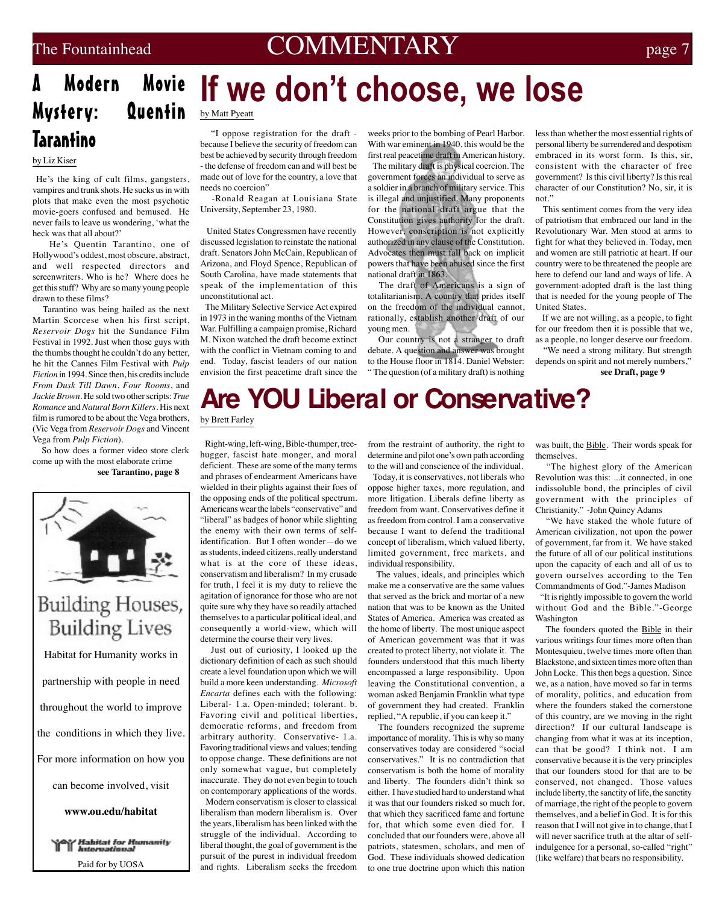### The Fountainhead **COMMENTARY** page 7

### A Modern Mystery: Quentin **Tarantino**

### by Liz Kiser

 He's the king of cult films, gangsters, vampires and trunk shots. He sucks us in with plots that make even the most psychotic movie-goers confused and bemused. He never fails to leave us wondering, 'what the heck was that all about?'

 He's Quentin Tarantino, one of Hollywood's oddest, most obscure, abstract, and well respected directors and screenwriters. Who is he? Where does he get this stuff? Why are so many young people drawn to these films?

 Tarantino was being hailed as the next Martin Scorcese when his first script, *Reservoir Dogs* hit the Sundance Film Festival in 1992. Just when those guys with the thumbs thought he couldn't do any better, he hit the Cannes Film Festival with *Pulp Fiction* in 1994. Since then, his credits include *From Dusk Till Dawn*, *Four Rooms*, and *Jackie Brown*. He sold two other scripts: *True Romance* and *Natural Born Killers*. His next film is rumored to be about the Vega brothers, (Vic Vega from *Reservoir Dogs* and Vincent Vega from *Pulp Fiction*).

 So how does a former video store clerk come up with the most elaborate crime **see Tarantino, page 8**



### **Building Houses, Building Lives**

Habitat for Humanity works in partnership with people in need throughout the world to improve the conditions in which they live. For more information on how you can become involved, visit **www.ou.edu/habitat**

*Mahitat for Humanity*<br>If International Paid for by UOSA

# Movie If we don't choose, we lose

by Matt Pyeatt

 "I oppose registration for the draft because I believe the security of freedom can best be achieved by security through freedom - the defense of freedom can and will best be made out of love for the country, a love that needs no coercion"

 -Ronald Reagan at Louisiana State University, September 23, 1980.

 United States Congressmen have recently discussed legislation to reinstate the national draft. Senators John McCain, Republican of Arizona, and Floyd Spence, Republican of South Carolina, have made statements that speak of the implementation of this unconstitutional act.

 The Military Selective Service Act expired in 1973 in the waning months of the Vietnam War. Fulfilling a campaign promise, Richard M. Nixon watched the draft become extinct with the conflict in Vietnam coming to and end. Today, fascist leaders of our nation envision the first peacetime draft since the

weeks prior to the bombing of Pearl Harbor. With war eminent in 1940, this would be the first real peacetime draft in American history.

 The military draft is physical coercion. The government forces an individual to serve as a soldier in a branch of military service. This is illegal and unjustified. Many proponents for the national draft argue that the Constitution gives authority for the draft. However, conscription is not explicitly authorized in any clause of the Constitution. Advocates then must fall back on implicit powers that have been abused since the first national draft in 1863.

 The draft of Americans is a sign of totalitarianism. A country that prides itself on the freedom of the individual cannot, rationally, establish another draft of our young men.

 Our country is not a stranger to draft debate. A question and answer was brought to the House floor in 1814. Daniel Webster: " The question (of a military draft) is nothing less than whether the most essential rights of personal liberty be surrendered and despotism embraced in its worst form. Is this, sir, consistent with the character of free government? Is this civil liberty? Is this real character of our Constitution? No, sir, it is not."

 This sentiment comes from the very idea of patriotism that embraced our land in the Revolutionary War. Men stood at arms to fight for what they believed in. Today, men and women are still patriotic at heart. If our country were to be threatened the people are here to defend our land and ways of life. A government-adopted draft is the last thing that is needed for the young people of The United States.

 If we are not willing, as a people, to fight for our freedom then it is possible that we, as a people, no longer deserve our freedom.

 "We need a strong military. But strength depends on spirit and not merely numbers,"

**see Draft, page 9**

# **Are YOU Liberal or Conservative?**

by Brett Farley

 Right-wing, left-wing, Bible-thumper, treehugger, fascist hate monger, and moral deficient. These are some of the many terms and phrases of endearment Americans have wielded in their plights against their foes of the opposing ends of the political spectrum. Americans wear the labels "conservative" and "liberal" as badges of honor while slighting the enemy with their own terms of selfidentification. But I often wonder—do we as students, indeed citizens, really understand what is at the core of these ideas, conservatism and liberalism? In my crusade for truth, I feel it is my duty to relieve the agitation of ignorance for those who are not quite sure why they have so readily attached themselves to a particular political ideal, and consequently a world-view, which will determine the course their very lives.

 Just out of curiosity, I looked up the dictionary definition of each as such should create a level foundation upon which we will build a more keen understanding. *Microsoft Encarta* defines each with the following: Liberal- 1.a. Open-minded; tolerant. b. Favoring civil and political liberties, democratic reforms, and freedom from arbitrary authority. Conservative- 1.a. Favoring traditional views and values; tending to oppose change. These definitions are not only somewhat vague, but completely inaccurate. They do not even begin to touch on contemporary applications of the words. Modern conservatism is closer to classical liberalism than modern liberalism is. Over the years, liberalism has been linked with the struggle of the individual. According to liberal thought, the goal of government is the pursuit of the purest in individual freedom and rights. Liberalism seeks the freedom

from the restraint of authority, the right to determine and pilot one's own path according to the will and conscience of the individual.

 Today, it is conservatives, not liberals who oppose higher taxes, more regulation, and more litigation. Liberals define liberty as freedom from want. Conservatives define it as freedom from control. I am a conservative because I want to defend the traditional concept of liberalism, which valued liberty, limited government, free markets, and individual responsibility.

 The values, ideals, and principles which make me a conservative are the same values that served as the brick and mortar of a new nation that was to be known as the United States of America. America was created as the home of liberty. The most unique aspect of American government was that it was created to protect liberty, not violate it. The founders understood that this much liberty encompassed a large responsibility. Upon leaving the Constitutional convention, a woman asked Benjamin Franklin what type of government they had created. Franklin replied, "A republic, if you can keep it."

 The founders recognized the supreme importance of morality. This is why so many conservatives today are considered "social conservatives." It is no contradiction that conservatism is both the home of morality and liberty. The founders didn't think so either. I have studied hard to understand what it was that our founders risked so much for, that which they sacrificed fame and fortune for, that which some even died for. I concluded that our founders were, above all patriots, statesmen, scholars, and men of God. These individuals showed dedication to one true doctrine upon which this nation

was built, the Bible. Their words speak for themselves.

 "The highest glory of the American Revolution was this: ...it connected, in one indissoluble bond, the principles of civil government with the principles of Christianity." -John Quincy Adams

 "We have staked the whole future of American civilization, not upon the power of government, far from it. We have staked the future of all of our political institutions upon the capacity of each and all of us to govern ourselves according to the Ten Commandments of God."-James Madison

 "It is rightly impossible to govern the world without God and the Bible."-George Washington

The founders quoted the **Bible** in their various writings four times more often than Montesquieu, twelve times more often than Blackstone, and sixteen times more often than John Locke. This then begs a question. Since we, as a nation, have moved so far in terms of morality, politics, and education from where the founders staked the cornerstone of this country, are we moving in the right direction? If our cultural landscape is changing from what it was at its inception, can that be good? I think not. I am conservative because it is the very principles that our founders stood for that are to be conserved, not changed. Those values include liberty, the sanctity of life, the sanctity of marriage, the right of the people to govern themselves, and a belief in God. It is for this reason that I will not give in to change, that I will never sacrifice truth at the altar of selfindulgence for a personal, so-called "right" (like welfare) that bears no responsibility.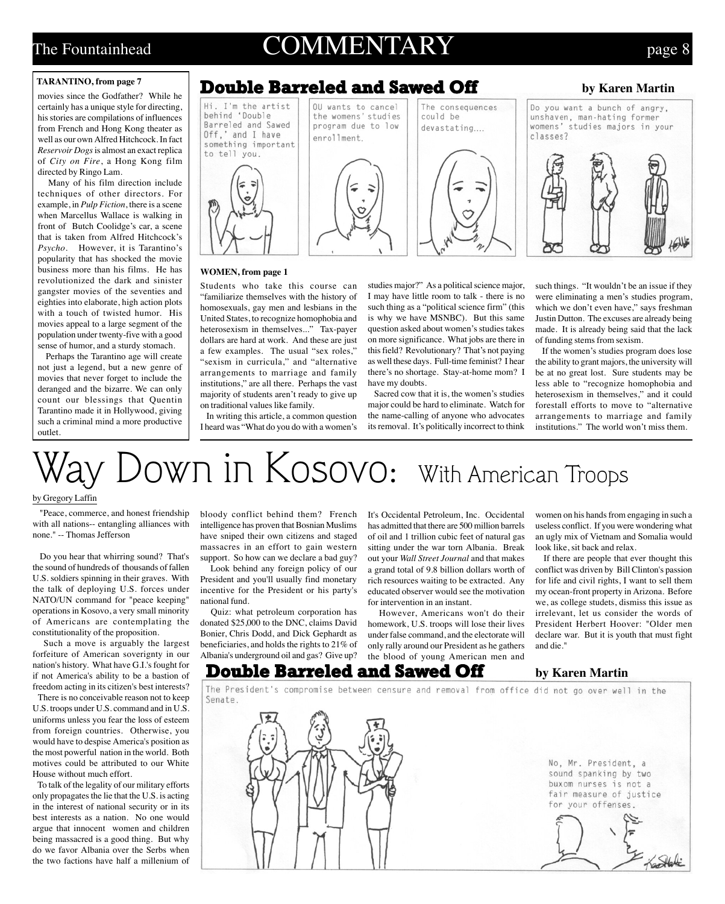### The Fountainhead  $COMMENTARY$  page 8

#### **TARANTINO, from page 7**

movies since the Godfather? While he certainly has a unique style for directing, his stories are compilations of influences from French and Hong Kong theater as well as our own Alfred Hitchcock. In fact *Reservoir Dogs* is almost an exact replica of *City on Fire*, a Hong Kong film directed by Ringo Lam.

 Many of his film direction include techniques of other directors. For example, in *Pulp Fiction*, there is a scene when Marcellus Wallace is walking in front of Butch Coolidge's car, a scene that is taken from Alfred Hitchcock's *Psycho*. However, it is Tarantino's popularity that has shocked the movie business more than his films. He has revolutionized the dark and sinister gangster movies of the seventies and eighties into elaborate, high action plots with a touch of twisted humor. His movies appeal to a large segment of the population under twenty-five with a good sense of humor, and a sturdy stomach.

 Perhaps the Tarantino age will create not just a legend, but a new genre of movies that never forget to include the deranged and the bizarre. We can only count our blessings that Quentin Tarantino made it in Hollywood, giving such a criminal mind a more productive outlet.

### Double Barreled and Sawed Off

#### **by Karen Martin**



#### **WOMEN, from page 1**

Students who take this course can "familiarize themselves with the history of homosexuals, gay men and lesbians in the United States, to recognize homophobia and heterosexism in themselves..." Tax-payer dollars are hard at work. And these are just a few examples. The usual "sex roles," "sexism in curricula," and "alternative arrangements to marriage and family institutions," are all there. Perhaps the vast majority of students aren't ready to give up on traditional values like family.

 In writing this article, a common question I heard was "What do you do with a women's studies major?" As a political science major, I may have little room to talk - there is no such thing as a "political science firm" (this is why we have MSNBC). But this same question asked about women's studies takes on more significance. What jobs are there in this field? Revolutionary? That's not paying as well these days. Full-time feminist? I hear there's no shortage. Stay-at-home mom? I have my doubts.

 Sacred cow that it is, the women's studies major could be hard to eliminate. Watch for the name-calling of anyone who advocates its removal. It's politically incorrect to think such things. "It wouldn't be an issue if they were eliminating a men's studies program, which we don't even have," says freshman Justin Dutton. The excuses are already being made. It is already being said that the lack of funding stems from sexism.

 If the women's studies program does lose the ability to grant majors, the university will be at no great lost. Sure students may be less able to "recognize homophobia and heterosexism in themselves," and it could forestall efforts to move to "alternative arrangements to marriage and family institutions." The world won't miss them.

# $y$   $Down$  in  $Kosovo:$  With American Troops

#### by Gregory Laffin

 "Peace, commerce, and honest friendship with all nations-- entangling alliances with none." -- Thomas Jefferson

 Do you hear that whirring sound? That's the sound of hundreds of thousands of fallen U.S. soldiers spinning in their graves. With the talk of deploying U.S. forces under NATO/UN command for "peace keeping" operations in Kosovo, a very small minority of Americans are contemplating the constitutionality of the proposition.

 Such a move is arguably the largest forfeiture of American soverignty in our nation's history. What have G.I.'s fought for if not America's ability to be a bastion of freedom acting in its citizen's best interests?

 There is no conceivable reason not to keep U.S. troops under U.S. command and in U.S. uniforms unless you fear the loss of esteem from foreign countries. Otherwise, you would have to despise America's position as the most powerful nation in the world. Both motives could be attributed to our White House without much effort.

 To talk of the legality of our military efforts only propagates the lie that the U.S. is acting in the interest of national security or in its best interests as a nation. No one would argue that innocent women and children being massacred is a good thing. But why do we favor Albania over the Serbs when the two factions have half a millenium of

bloody conflict behind them? French intelligence has proven that Bosnian Muslims have sniped their own citizens and staged massacres in an effort to gain western support. So how can we declare a bad guy?

 Look behind any foreign policy of our President and you'll usually find monetary incentive for the President or his party's national fund.

 Quiz: what petroleum corporation has donated \$25,000 to the DNC, claims David Bonier, Chris Dodd, and Dick Gephardt as beneficiaries, and holds the rights to 21% of Albania's underground oil and gas? Give up? It's Occidental Petroleum, Inc. Occidental has admitted that there are 500 million barrels of oil and 1 trillion cubic feet of natural gas sitting under the war torn Albania. Break out your *Wall Street Journal* and that makes a grand total of 9.8 billion dollars worth of rich resources waiting to be extracted. Any educated observer would see the motivation for intervention in an instant.

 However, Americans won't do their homework, U.S. troops will lose their lives under false command, and the electorate will only rally around our President as he gathers the blood of young American men and

women on his hands from engaging in such a useless conflict. If you were wondering what an ugly mix of Vietnam and Somalia would look like, sit back and relax.

 If there are people that ever thought this conflict was driven by Bill Clinton's passion for life and civil rights, I want to sell them my ocean-front property in Arizona. Before we, as college studets, dismiss this issue as irrelevant, let us consider the words of President Herbert Hoover: "Older men declare war. But it is youth that must fight and die."

### **Double Barreled and Sawed Off** by Karen Martin

The President's compromise between censure and removal from office did not go over well in the Senate.

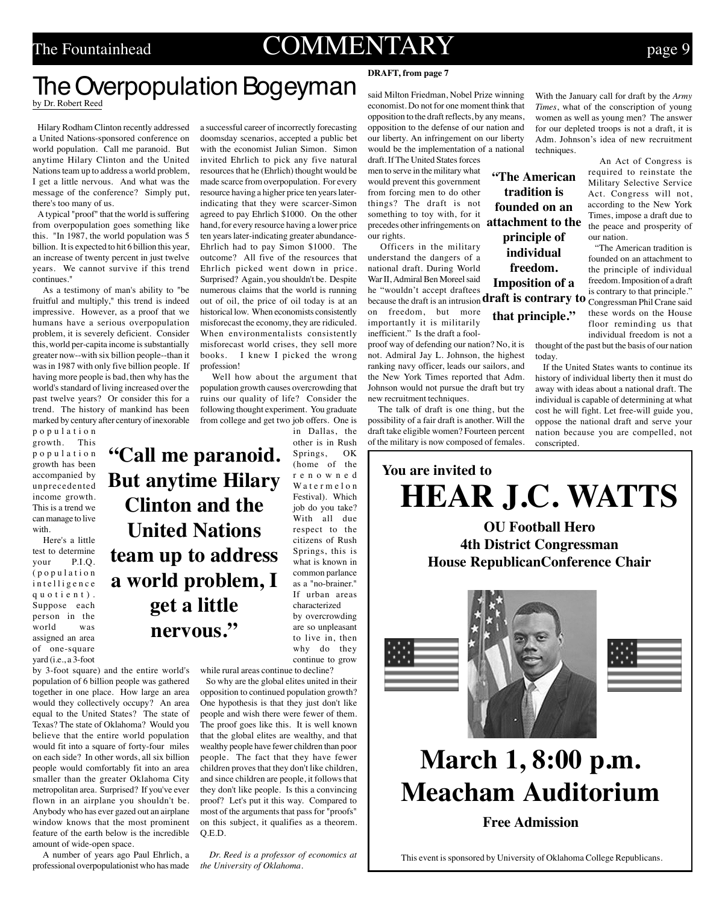### The Fountainhead  $COMMENTARY$  page 9

# **The Overpopulation Bogeyman DRAFT, from page 7 DRAFT, from page 7**

**United Nations**

**get a little**

**nervous."**

by Dr. Robert Reed

 Hilary Rodham Clinton recently addressed a United Nations-sponsored conference on world population. Call me paranoid. But anytime Hilary Clinton and the United Nations team up to address a world problem, I get a little nervous. And what was the message of the conference? Simply put, there's too many of us.

 A typical "proof" that the world is suffering from overpopulation goes something like this. "In 1987, the world population was 5 billion. It is expected to hit 6 billion this year, an increase of twenty percent in just twelve years. We cannot survive if this trend continues."

 As a testimony of man's ability to "be fruitful and multiply," this trend is indeed impressive. However, as a proof that we humans have a serious overpopulation problem, it is severely deficient. Consider this, world per-capita income is substantially greater now--with six billion people--than it was in 1987 with only five billion people. If having more people is bad, then why has the world's standard of living increased over the past twelve years? Or consider this for a trend. The history of mankind has been marked by century after century of inexorable

population growth. This population growth has been accompanied by unprecedented income growth. This is a trend we can manage to live with.

 Here's a little test to determine<br>vour P.I.O. your (population intelligence quotient). Suppose each person in the world was assigned an area of one-square yard (i.e., a 3-foot

by 3-foot square) and the entire world's population of 6 billion people was gathered together in one place. How large an area would they collectively occupy? An area equal to the United States? The state of Texas? The state of Oklahoma? Would you believe that the entire world population would fit into a square of forty-four miles on each side? In other words, all six billion people would comfortably fit into an area smaller than the greater Oklahoma City metropolitan area. Surprised? If you've ever flown in an airplane you shouldn't be. Anybody who has ever gazed out an airplane window knows that the most prominent feature of the earth below is the incredible amount of wide-open space.

 A number of years ago Paul Ehrlich, a professional overpopulationist who has made a successful career of incorrectly forecasting doomsday scenarios, accepted a public bet with the economist Julian Simon. Simon invited Ehrlich to pick any five natural resources that he (Ehrlich) thought would be made scarce from overpopulation. For every resource having a higher price ten years laterindicating that they were scarcer-Simon agreed to pay Ehrlich \$1000. On the other hand, for every resource having a lower price ten years later-indicating greater abundance-Ehrlich had to pay Simon \$1000. The outcome? All five of the resources that Ehrlich picked went down in price. Surprised? Again, you shouldn't be. Despite numerous claims that the world is running out of oil, the price of oil today is at an historical low. When economists consistently misforecast the economy, they are ridiculed. When environmentalists consistently misforecast world crises, they sell more books. I knew I picked the wrong profession!

 Well how about the argument that population growth causes overcrowding that ruins our quality of life? Consider the following thought experiment. You graduate from college and get two job offers. One is

in Dallas, the other is in Rush Springs, OK (home of the renowned Watermelon Festival). Which job do you take? With all due respect to the citizens of Rush Springs, this is what is known in common parlance as a "no-brainer." If urban areas characterized by overcrowding are so unpleasant to live in, then why do they continue to grow while rural areas continue to decline? **"Call me paranoid. But anytime Hilary Clinton and the team up to address a world problem, I**

> So why are the global elites united in their opposition to continued population growth? One hypothesis is that they just don't like people and wish there were fewer of them. The proof goes like this. It is well known that the global elites are wealthy, and that wealthy people have fewer children than poor people. The fact that they have fewer children proves that they don't like children, and since children are people, it follows that they don't like people. Is this a convincing proof? Let's put it this way. Compared to most of the arguments that pass for "proofs" on this subject, it qualifies as a theorem. Q.E.D.

 *Dr. Reed is a professor of economics at the University of Oklahoma.*

said Milton Friedman, Nobel Prize winning economist. Do not for one moment think that opposition to the draft reflects, by any means, opposition to the defense of our nation and our liberty. An infringement on our liberty would be the implementation of a national draft. If The United States forces

men to serve in the military what would prevent this government from forcing men to do other things? The draft is not something to toy with, for it precedes other infringements on **attachment to the** our rights.

 Officers in the military understand the dangers of a national draft. During World War II, Admiral Ben Moreel said he "wouldn't accept draftees because the draft is an intrusion Congressman Phil Crane said **draft is contrary to** on freedom, but more importantly it is militarily

inefficient." Is the draft a foolproof way of defending our nation? No, it is not. Admiral Jay L. Johnson, the highest ranking navy officer, leads our sailors, and the New York Times reported that Adm. Johnson would not pursue the draft but try new recruitment techniques.

 The talk of draft is one thing, but the possibility of a fair draft is another. Will the draft take eligible women? Fourteen percent of the military is now composed of females.

With the January call for draft by the *Army Times*, what of the conscription of young women as well as young men? The answer for our depleted troops is not a draft, it is Adm. Johnson's idea of new recruitment techniques.

> An Act of Congress is required to reinstate the Military Selective Service Act. Congress will not, according to the New York Times, impose a draft due to the peace and prosperity of our nation.

> "The American tradition is founded on an attachment to the principle of individual freedom. Imposition of a draft is contrary to that principle." these words on the House floor reminding us that individual freedom is not a

thought of the past but the basis of our nation today.

 If the United States wants to continue its history of individual liberty then it must do away with ideas about a national draft. The individual is capable of determining at what cost he will fight. Let free-will guide you, oppose the national draft and serve your nation because you are compelled, not conscripted.



**"The American tradition is founded on an**

**principle of individual freedom. Imposition of a**

**that principle."**







# **March 1, 8:00 p.m. Meacham Auditorium**

**Free Admission**

This event is sponsored by University of Oklahoma College Republicans.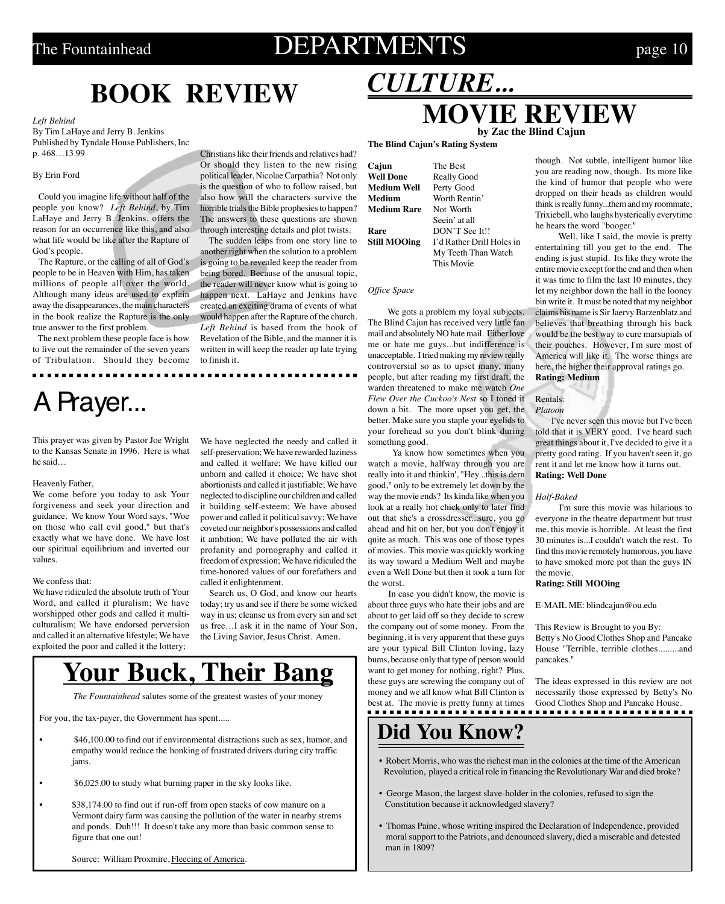### The Fountainhead  $\qquad$  DEPARTMENTS  $_{\text{page 10}}$

## **BOOK REVIEW**

#### *Left Behind*

By Tim LaHaye and Jerry B. Jenkins Published by Tyndale House Publishers, Inc p. 468…13.99

#### By Erin Ford

 Could you imagine life without half of the people you know? *Left Behind*, by Tim LaHaye and Jerry B. Jenkins, offers the reason for an occurrence like this, and also what life would be like after the Rapture of God's people.

 The Rapture, or the calling of all of God's people to be in Heaven with Him, has taken millions of people all over the world. Although many ideas are used to explain away the disappearances, the main characters in the book realize the Rapture is the only true answer to the first problem.

 The next problem these people face is how to live out the remainder of the seven years of Tribulation. Should they become

## A Prayer...

This prayer was given by Pastor Joe Wright to the Kansas Senate in 1996. Here is what he said…

#### Heavenly Father,

We come before you today to ask Your forgiveness and seek your direction and guidance. We know Your Word says, "Woe on those who call evil good," but that's exactly what we have done. We have lost our spiritual equilibrium and inverted our values.

#### We confess that:

We have ridiculed the absolute truth of Your Word, and called it pluralism; We have worshipped other gods and called it multiculturalism; We have endorsed perversion and called it an alternative lifestyle; We have exploited the poor and called it the lottery;

Christians like their friends and relatives had? Or should they listen to the new rising political leader, Nicolae Carpathia? Not only is the question of who to follow raised, but also how will the characters survive the horrible trials the Bible prophesies to happen? The answers to these questions are shown through interesting details and plot twists.

 The sudden leaps from one story line to another right when the solution to a problem is going to be revealed keep the reader from being bored. Because of the unusual topic, the reader will never know what is going to happen next. LaHaye and Jenkins have created an exciting drama of events of what would happen after the Rapture of the church. *Left Behind* is based from the book of Revelation of the Bible, and the manner it is written in will keep the reader up late trying to finish it.

We have neglected the needy and called it self-preservation; We have rewarded laziness and called it welfare; We have killed our unborn and called it choice; We have shot abortionists and called it justifiable; We have neglected to discipline our children and called it building self-esteem; We have abused power and called it political savvy; We have coveted our neighbor's possessions and called it ambition; We have polluted the air with profanity and pornography and called it freedom of expression; We have ridiculed the time-honored values of our forefathers and called it enlightenment.

 Search us, O God, and know our hearts today; try us and see if there be some wicked way in us; cleanse us from every sin and set us free…I ask it in the name of Your Son, the Living Savior, Jesus Christ. Amen.

### **Your Buck, Their Bang**

*The Fountainhead* salutes some of the greatest wastes of your money

For you, the tax-payer, the Government has spent.....

- \$46,100.00 to find out if environmental distractions such as sex, humor, and empathy would reduce the honking of frustrated drivers during city traffic jams.
- \$6,025.00 to study what burning paper in the sky looks like.
- \$38,174.00 to find out if run-off from open stacks of cow manure on a Vermont dairy farm was causing the pollution of the water in nearby strems and ponds. Duh!!! It doesn't take any more than basic common sense to figure that one out!

Source: William Proxmire, Fleecing of America.

### **MOVIE REVIEW The Blind Cajun's Rating System by Zac the Blind Cajun**

**Cajun** The Best **Medium Well Medium Rare** 

................

**Well Done** Really Good<br> **Medium Well** Perty Good **Medium** Worth Rentin'<br> **Medium Rare** Not Worth Seein' at all **Rare** DON'T See It!!<br> **Still MOOing** I'd Rather Drill l I'd Rather Drill Holes in My Teeth Than Watch

This Movie

*CULTURE...*

*Office Space*

 We gots a problem my loyal subjects. The Blind Cajun has received very little fan mail and absolutely NO hate mail. Either love me or hate me guys...but indifference is unacceptable. I tried making my review really controversial so as to upset many, many people, but after reading my first draft, the warden threatened to make me watch *One Flew Over the Cuckoo's Nest* so I toned it down a bit. The more upset you get, the better. Make sure you staple your eyelids to your forehead so you don't blink during something good.

 Ya know how sometimes when you watch a movie, halfway through you are really into it and thinkin', "Hey...this is dern good," only to be extremely let down by the way the movie ends? Its kinda like when you look at a really hot chick only to later find out that she's a crossdresser...sure, you go ahead and hit on her, but you don't enjoy it quite as much. This was one of those types of movies. This movie was quickly working its way toward a Medium Well and maybe even a Well Done but then it took a turn for the worst.

 In case you didn't know, the movie is about three guys who hate their jobs and are about to get laid off so they decide to screw the company out of some money. From the beginning, it is very apparent that these guys are your typical Bill Clinton loving, lazy bums, because only that type of person would want to get money for nothing, right? Plus, these guys are screwing the company out of money and we all know what Bill Clinton is best at. The movie is pretty funny at times Good Clothes Shop and Pancake House.

### **Did You Know?**

- Robert Morris, who was the richest man in the colonies at the time of the American Revolution, played a critical role in financing the Revolutionary War and died broke?
- George Mason, the largest slave-holder in the colonies, refused to sign the Constitution because it acknowledged slavery?
- Thomas Paine, whose writing inspired the Declaration of Independence, provided moral support to the Patriots, and denounced slavery, died a miserable and detested man in 1809?

though. Not subtle, intelligent humor like you are reading now, though. Its more like the kind of humor that people who were dropped on their heads as children would think is really funny...them and my roommate, Trixiebell, who laughs hysterically everytime he hears the word "booger."

 Well, like I said, the movie is pretty entertaining till you get to the end. The ending is just stupid. Its like they wrote the entire movie except for the end and then when it was time to film the last 10 minutes, they let my neighbor down the hall in the looney bin write it. It must be noted that my neighbor claims his name is Sir Jaervy Barzenblatz and believes that breathing through his back would be the best way to cure marsupials of their pouches. However, I'm sure most of America will like it. The worse things are here, the higher their approval ratings go. **Rating: Medium**

Rentals: *Platoon*

 I've never seen this movie but I've been told that it is VERY good. I've heard such great things about it, I've decided to give it a pretty good rating. If you haven't seen it, go rent it and let me know how it turns out. **Rating: Well Done**

#### *Half-Baked*

 I'm sure this movie was hilarious to everyone in the theatre department but trust me, this movie is horrible. At least the first 30 minutes is...I couldn't watch the rest. To find this movie remotely humorous, you have to have smoked more pot than the guys IN the movie.

#### **Rating: Still MOOing**

E-MAIL ME: blindcajun@ou.edu

This Review is Brought to you By: Betty's No Good Clothes Shop and Pancake House "Terrible, terrible clothes.........and pancakes."

The ideas expressed in this review are not necessarily those expressed by Betty's No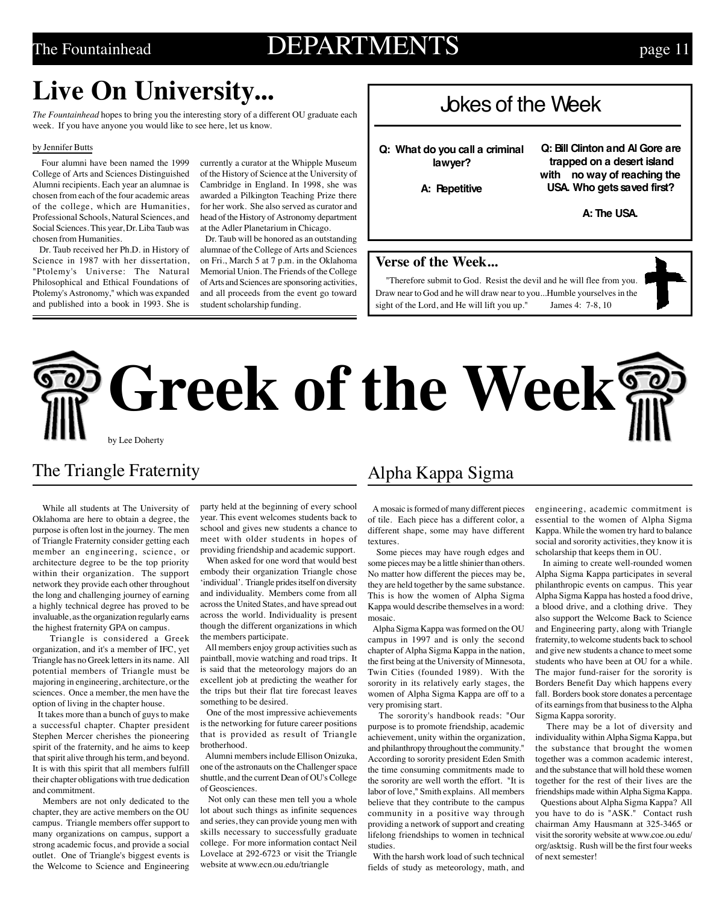### The Fountainhead  $\text{DEPARTMENTS}$  page 11

### **Live On University...**

*The Fountainhead* hopes to bring you the interesting story of a different OU graduate each week. If you have anyone you would like to see here, let us know.

#### by Jennifer Butts

 Four alumni have been named the 1999 College of Arts and Sciences Distinguished Alumni recipients. Each year an alumnae is chosen from each of the four academic areas of the college, which are Humanities, Professional Schools, Natural Sciences, and Social Sciences. This year, Dr. Liba Taub was chosen from Humanities.

 Dr. Taub received her Ph.D. in History of Science in 1987 with her dissertation, "Ptolemy's Universe: The Natural Philosophical and Ethical Foundations of Ptolemy's Astronomy," which was expanded and published into a book in 1993. She is currently a curator at the Whipple Museum of the History of Science at the University of Cambridge in England. In 1998, she was awarded a Pilkington Teaching Prize there for her work. She also served as curator and head of the History of Astronomy department at the Adler Planetarium in Chicago.

 Dr. Taub will be honored as an outstanding alumnae of the College of Arts and Sciences on Fri., March 5 at 7 p.m. in the Oklahoma Memorial Union. The Friends of the College of Arts and Sciences are sponsoring activities, and all proceeds from the event go toward student scholarship funding.

### Jokes of the Week

**Q: What do you call a criminal lawyer?**

 **Q: Bill Clinton and Al Gore are trapped on a desert island with no way of reaching the USA. Who gets saved first?**

**A: Repetitive**

**A: The USA.**

### **Verse of the Week...**

"Therefore submit to God. Resist the devil and he will flee from you. Draw near to God and he will draw near to you...Humble yourselves in the sight of the Lord, and He will lift you up." James 4: 7-8, 10



# **Greek of the Week** by Lee Doherty

### The Triangle Fraternity

 While all students at The University of Oklahoma are here to obtain a degree, the purpose is often lost in the journey. The men of Triangle Fraternity consider getting each member an engineering, science, or architecture degree to be the top priority within their organization. The support network they provide each other throughout the long and challenging journey of earning a highly technical degree has proved to be invaluable, as the organization regularly earns the highest fraternity GPA on campus.

 Triangle is considered a Greek organization, and it's a member of IFC, yet Triangle has no Greek letters in its name. All potential members of Triangle must be majoring in engineering, architecture, or the sciences. Once a member, the men have the option of living in the chapter house.

 It takes more than a bunch of guys to make a successful chapter. Chapter president Stephen Mercer cherishes the pioneering spirit of the fraternity, and he aims to keep that spirit alive through his term, and beyond. It is with this spirit that all members fulfill their chapter obligations with true dedication and commitment.

 Members are not only dedicated to the chapter, they are active members on the OU campus. Triangle members offer support to many organizations on campus, support a strong academic focus, and provide a social outlet. One of Triangle's biggest events is the Welcome to Science and Engineering

party held at the beginning of every school year. This event welcomes students back to school and gives new students a chance to meet with older students in hopes of providing friendship and academic support.

 When asked for one word that would best embody their organization Triangle chose 'individual'. Triangle prides itself on diversity and individuality. Members come from all across the United States, and have spread out across the world. Individuality is present though the different organizations in which the members participate.

 All members enjoy group activities such as paintball, movie watching and road trips. It is said that the meteorology majors do an excellent job at predicting the weather for the trips but their flat tire forecast leaves something to be desired.

 One of the most impressive achievements is the networking for future career positions that is provided as result of Triangle brotherhood.

 Alumni members include Ellison Onizuka, one of the astronauts on the Challenger space shuttle, and the current Dean of OU's College of Geosciences.

 Not only can these men tell you a whole lot about such things as infinite sequences and series, they can provide young men with skills necessary to successfully graduate college. For more information contact Neil Lovelace at 292-6723 or visit the Triangle website at www.ecn.ou.edu/triangle

# Alpha Kappa Sigma

 A mosaic is formed of many different pieces of tile. Each piece has a different color, a different shape, some may have different textures.

 Some pieces may have rough edges and some pieces may be a little shinier than others. No matter how different the pieces may be, they are held together by the same substance. This is how the women of Alpha Sigma Kappa would describe themselves in a word: mosaic.

 Alpha Sigma Kappa was formed on the OU campus in 1997 and is only the second chapter of Alpha Sigma Kappa in the nation, the first being at the University of Minnesota, Twin Cities (founded 1989). With the sorority in its relatively early stages, the women of Alpha Sigma Kappa are off to a very promising start.

 The sorority's handbook reads: "Our purpose is to promote friendship, academic achievement, unity within the organization, and philanthropy throughout the community." According to sorority president Eden Smith the time consuming commitments made to the sorority are well worth the effort. "It is labor of love," Smith explains. All members believe that they contribute to the campus community in a positive way through providing a network of support and creating lifelong friendships to women in technical studies.

 With the harsh work load of such technical fields of study as meteorology, math, and

engineering, academic commitment is essential to the women of Alpha Sigma Kappa. While the women try hard to balance social and sorority activities, they know it is scholarship that keeps them in OU.

 In aiming to create well-rounded women Alpha Sigma Kappa participates in several philanthropic events on campus. This year Alpha Sigma Kappa has hosted a food drive, a blood drive, and a clothing drive. They also support the Welcome Back to Science and Engineering party, along with Triangle fraternity, to welcome students back to school and give new students a chance to meet some students who have been at OU for a while. The major fund-raiser for the sorority is Borders Benefit Day which happens every fall. Borders book store donates a percentage of its earnings from that business to the Alpha Sigma Kappa sorority.

 There may be a lot of diversity and individuality within Alpha Sigma Kappa, but the substance that brought the women together was a common academic interest, and the substance that will hold these women together for the rest of their lives are the friendships made within Alpha Sigma Kappa. Questions about Alpha Sigma Kappa? All

you have to do is "ASK." Contact rush chairman Amy Hausmann at 325-3465 or visit the sorority website at www.coe.ou.edu/ org/asktsig. Rush will be the first four weeks of next semester!